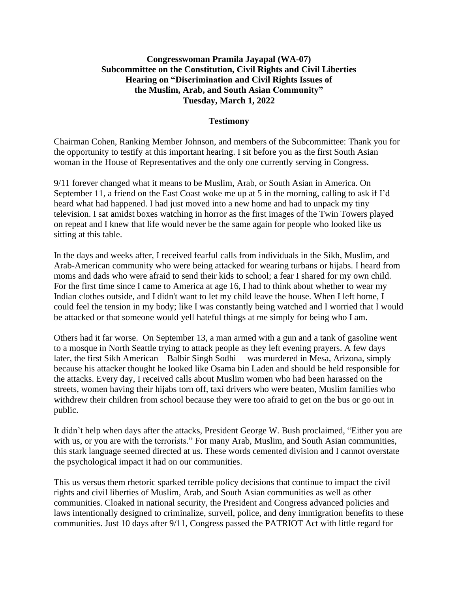## **Congresswoman Pramila Jayapal (WA-07) Subcommittee on the Constitution, Civil Rights and Civil Liberties Hearing on "Discrimination and Civil Rights Issues of the Muslim, Arab, and South Asian Community" Tuesday, March 1, 2022**

## **Testimony**

Chairman Cohen, Ranking Member Johnson, and members of the Subcommittee: Thank you for the opportunity to testify at this important hearing. I sit before you as the first South Asian woman in the House of Representatives and the only one currently serving in Congress.

9/11 forever changed what it means to be Muslim, Arab, or South Asian in America. On September 11, a friend on the East Coast woke me up at 5 in the morning, calling to ask if I'd heard what had happened. I had just moved into a new home and had to unpack my tiny television. I sat amidst boxes watching in horror as the first images of the Twin Towers played on repeat and I knew that life would never be the same again for people who looked like us sitting at this table.

In the days and weeks after, I received fearful calls from individuals in the Sikh, Muslim, and Arab-American community who were being attacked for wearing turbans or hijabs. I heard from moms and dads who were afraid to send their kids to school; a fear I shared for my own child. For the first time since I came to America at age 16, I had to think about whether to wear my Indian clothes outside, and I didn't want to let my child leave the house. When I left home, I could feel the tension in my body; like I was constantly being watched and I worried that I would be attacked or that someone would yell hateful things at me simply for being who I am.

Others had it far worse. On September 13, a man armed with a gun and a tank of gasoline went to a mosque in North Seattle trying to attack people as they left evening prayers. A few days later, the first Sikh American—Balbir Singh Sodhi— was murdered in Mesa, Arizona, simply because his attacker thought he looked like Osama bin Laden and should be held responsible for the attacks. Every day, I received calls about Muslim women who had been harassed on the streets, women having their hijabs torn off, taxi drivers who were beaten, Muslim families who withdrew their children from school because they were too afraid to get on the bus or go out in public.

It didn't help when days after the attacks, President George W. Bush proclaimed, "Either you are with us, or you are with the terrorists." For many Arab, Muslim, and South Asian communities, this stark language seemed directed at us. These words cemented division and I cannot overstate the psychological impact it had on our communities.

This us versus them rhetoric sparked terrible policy decisions that continue to impact the civil rights and civil liberties of Muslim, Arab, and South Asian communities as well as other communities. Cloaked in national security, the President and Congress advanced policies and laws intentionally designed to criminalize, surveil, police, and deny immigration benefits to these communities. Just 10 days after 9/11, Congress passed the PATRIOT Act with little regard for